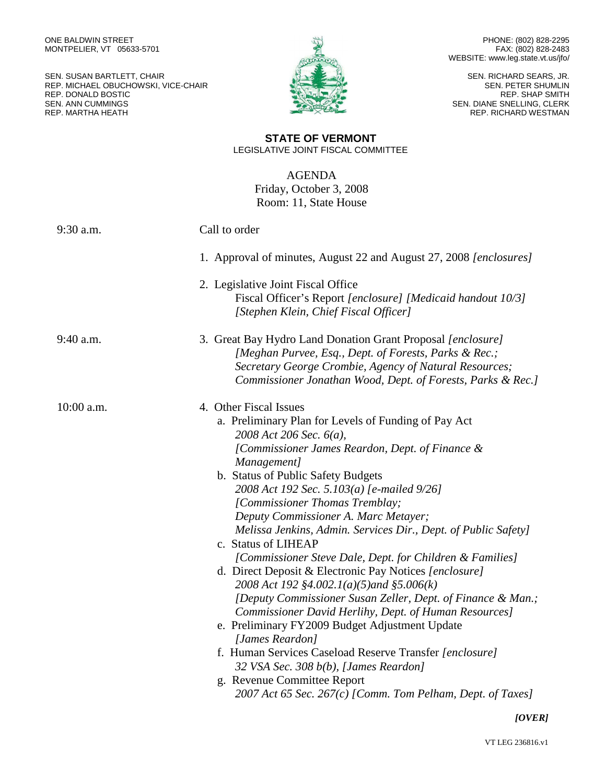SEN. SUSAN BARTLETT, CHAIR REP. MICHAEL OBUCHOWSKI, VICE-CHAIR REP. DONALD BOSTIC SEN. ANN CUMMINGS REP. MARTHA HEATH



PHONE: (802) 828-2295 FAX: (802) 828-2483 WEBSITE: www.leg.state.vt.us/jfo/

SEN. RICHARD SEARS, JR. SEN. PETER SHUMLIN REP. SHAP SMITH SEN. DIANE SNELLING, CLERK REP. RICHARD WESTMAN

## **STATE OF VERMONT** LEGISLATIVE JOINT FISCAL COMMITTEE

AGENDA Friday, October 3, 2008 Room: 11, State House

| 9:30 a.m.    | Call to order                                                                                                                                                                                                                                                                                                                                                                                                                                                                                                                                                                                                                                                                                                                                                                                                                                                                                                                                                                                      |
|--------------|----------------------------------------------------------------------------------------------------------------------------------------------------------------------------------------------------------------------------------------------------------------------------------------------------------------------------------------------------------------------------------------------------------------------------------------------------------------------------------------------------------------------------------------------------------------------------------------------------------------------------------------------------------------------------------------------------------------------------------------------------------------------------------------------------------------------------------------------------------------------------------------------------------------------------------------------------------------------------------------------------|
|              | 1. Approval of minutes, August 22 and August 27, 2008 [enclosures]                                                                                                                                                                                                                                                                                                                                                                                                                                                                                                                                                                                                                                                                                                                                                                                                                                                                                                                                 |
|              | 2. Legislative Joint Fiscal Office<br>Fiscal Officer's Report [enclosure] [Medicaid handout 10/3]<br>[Stephen Klein, Chief Fiscal Officer]                                                                                                                                                                                                                                                                                                                                                                                                                                                                                                                                                                                                                                                                                                                                                                                                                                                         |
| $9:40$ a.m.  | 3. Great Bay Hydro Land Donation Grant Proposal [enclosure]<br>[Meghan Purvee, Esq., Dept. of Forests, Parks & Rec.;<br>Secretary George Crombie, Agency of Natural Resources;<br>Commissioner Jonathan Wood, Dept. of Forests, Parks & Rec.]                                                                                                                                                                                                                                                                                                                                                                                                                                                                                                                                                                                                                                                                                                                                                      |
| $10:00$ a.m. | 4. Other Fiscal Issues<br>a. Preliminary Plan for Levels of Funding of Pay Act<br>2008 Act 206 Sec. 6(a),<br>[Commissioner James Reardon, Dept. of Finance &<br>Management]<br>b. Status of Public Safety Budgets<br>2008 Act 192 Sec. 5.103(a) [e-mailed 9/26]<br>[Commissioner Thomas Tremblay;<br>Deputy Commissioner A. Marc Metayer;<br>Melissa Jenkins, Admin. Services Dir., Dept. of Public Safety]<br>c. Status of LIHEAP<br>[Commissioner Steve Dale, Dept. for Children & Families]<br>d. Direct Deposit & Electronic Pay Notices [enclosure]<br>2008 Act 192 §4.002.1(a)(5)and §5.006(k)<br>[Deputy Commissioner Susan Zeller, Dept. of Finance & Man.;<br>Commissioner David Herlihy, Dept. of Human Resources]<br>e. Preliminary FY2009 Budget Adjustment Update<br>[James Reardon]<br>f. Human Services Caseload Reserve Transfer [enclosure]<br>32 VSA Sec. 308 b(b), [James Reardon]<br>g. Revenue Committee Report<br>2007 Act 65 Sec. 267(c) [Comm. Tom Pelham, Dept. of Taxes] |